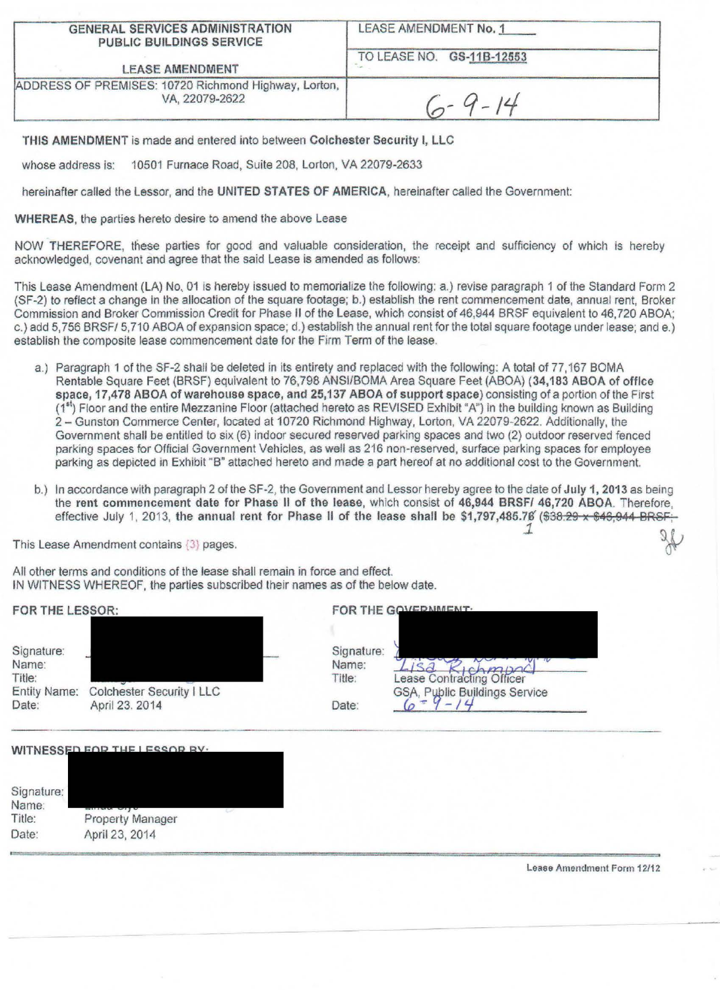| <b>GENERAL SERVICES ADMINISTRATION</b> |  |
|----------------------------------------|--|
| <b>PUBLIC BUILDINGS SERVICE</b>        |  |

LEASE AMENDMENT No. 1

TO LEASE NO. GS-118-12553

LEASE AMENDMENT

ADDRESS OF PREMISES: 10720 Richmond Highway, Lorton,

 $6 - 9 - 14$ 

THIS AMENDMENT is made and entered into between Colchester Security I, LLC

whose address is: 10501 Furnace Road, Suite 208, Lorton, VA 22079-2633

hereinafter called the Lessor, and the UNITED STATES OF AMERICA, hereinafter called the Government:

WHEREAS, the parties hereto desire to amend the above Lease

NOW THEREFORE, these parties for good and valuable consideration, the receipt and sufficiency of which is hereby acknowledged, covenant and agree that the said Lease is amended as follows:

This Lease Amendment (LA) No.. 01 is hereby issued to memorialize the following: a.) revise paragraph 1 of the Standard Form 2 (SF-2) to reflect a change in the allocation of the square footage; b.) establish the rent commencement date, annual rent, Broker Commission and Broker Commission Credit for Phase II of the Lease, which consist of 46,944 BRSF equivalent to 46, 720 ABOA; c.) add 5, 756 BRSF/ 5.710 ABOA of expansion space; d.) establish the annual rent for the total square footage under lease; and e.) establish the composite lease commencement date for the Firm Term of the lease.

- a.) Paragraph 1 of the SF-2 shall be deleted in its entirety and replaced with the following: A total of 77,167 BOMA Rentable Square Feet (BRSF) equivalent to 76,798 ANSI/BOMA Area Square Feet (ABOA) (34,183 ABOA of office space, 17,478 ABOA of warehouse space, and 25,137 ABOA of support space) consisting of a portion of the First (1<sup>st</sup>) Floor and the entire Mezzanine Floor (attached hereto as REVISED Exhibit "A") in the building known as Building 2 - Gunston Commerce Center, located at 10720 Richmond Highway, Lorton, VA 22079-2622. Additionally, the Government shall be entitled to six (6) indoor secured reserved parking spaces and two (2) outdoor reserved fenced parking spaces for Official Government Vehicles, as well as 216 non-reserved, surface parking spaces for employee parking as depicted in Exhibit "B" attached hereto and made a part hereof at no additional cost to the Government.
- b.) In accordance with paragraph 2 of the SF-2, the Government and Lessor hereby agree to the date of July 1, 2013 as being the rent commencement date for Phase II of the lease, which consist of 46,944 BRSF/ 46,720 ABOA. Therefore, effective July 1, 2013, the annual rent for Phase II of the lease shall be \$1,797,485.78' (\$38.29 x \$46,944- BRSF;

This Lease Amendment contains  $(3)$  pages. **J.** *J.*  $\blacksquare$ 

All other terms and conditions of the lease shall remain in force and effect. IN WITNESS WHEREOF, the parties subscribed their names as of the below date.

| FOR THE LESSOR:                                               |                                             |                                        | FOR THE GOVEDNMENT.                                       |
|---------------------------------------------------------------|---------------------------------------------|----------------------------------------|-----------------------------------------------------------|
| Signature:<br>Name:<br>Title:<br><b>Entity Name:</b><br>Date: | Colchester Security I LLC<br>April 23. 2014 | Signature:<br>Name:<br>Title:<br>Date: | ease Contracting Officer<br>GSA, Public Buildings Service |
|                                                               |                                             |                                        |                                                           |

WITNESSED FOR THE I ESSOR BY.

| Signature:<br>Name: |                  |  |
|---------------------|------------------|--|
| Title:              | Property Manager |  |
| Date:               | April 23, 2014   |  |

Lease Amendment Form 12/12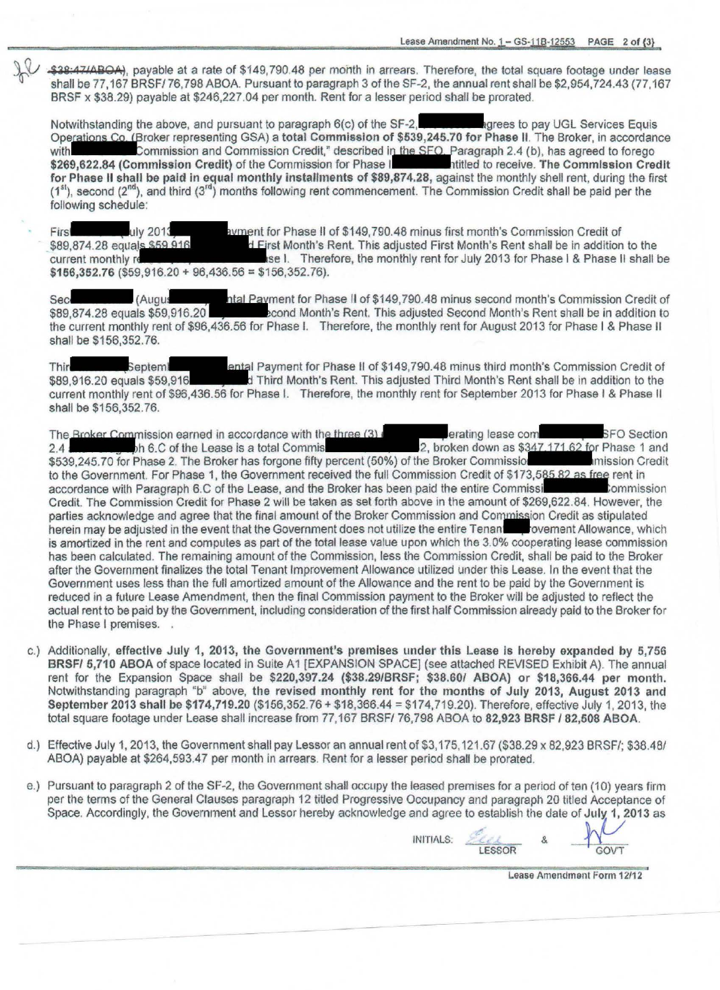\$38:47/ABOA), payable at a rate of \$149,790.48 per month in arrears. Therefore, the total square footage under lease shall be 77, 167 BRSF/ 76,798 ABOA. Pursuant to paragraph 3 of the SF-2, the annual rent shall be \$2,954,724.43(77,167 BRSF x \$38.29) payable at \$246,227.04 per month. Rent for a lesser period shall be prorated.

Notwithstanding the above, and pursuant to paragraph 6(c) of the SF-2, grees to pay UGL Services Equis Operations Co. (Broker representing GSA) a total Commission of \$539,245.70 for Phase II. The Broker, in accordance with Commission and Commission Credit," described in the SFO. Paragraph 2.4 (b), has agreed to forego Commission and Commission Credit," described in the SFO. Paragraph 2.4 (b), has agreed to forego<br>ommission Credit) of the Commission for Phase Internative of preceive. The Commission Credit \$269,622.84 (Commission Credit) of the Commission for Phase I for Phase II shall be paid in equal monthly installments of \$89,874.28, against the monthly shell rent, during the first  $(1<sup>st</sup>)$ , second  $(2<sup>nd</sup>)$ , and third  $(3<sup>rd</sup>)$  months following rent commencement. The Commission Credit shall be paid per the following schedule:

First Luly 2013 \$89,874.28 equals \$59,916 current monthly re ayment for Phase II of \$149,790.48 minus first month's Commission Credit of d First Month's Rent. This adjusted First Month's Rent shall be in addition to the se I. Therefore, the monthly rent for July 2013 for Phase I & Phase II shall be  $$166,352.76$  (\$59,916.20 + 96,436.56 = \$156,352.76).

Sec (Augus et al. Payment for Phase II of \$149, 790.48 minus second month's Commission Credit of \$89,874.28 equals \$59,916.20  $\blacksquare$  econd Month's Rent. This adjusted Second Month's Rent shall be in addition to the current monthly rent of \$96,436.56 for Phase I. Therefore, the monthly rent for August 2013 for Phase I & Phase II shall be \$156,352.76.<br>Shall be \$156,352.76.<br>Third month's Commission Credit of \$149,790.48 minus third shall be \$156,352.76.

\$89,916.20 equals \$59,916 Third Month's Rent. This adjusted Third Month's Rent shall be in addition to the current monthly rent of \$96.436.56 for Phase I. Therefore, the monthly rent for September 2013 for Phase I & Phase II shall be \$156,352.76.

The Broker Commission earned in accordance with the three  $(3)$  erating lease com SFO Section SFO Section 2.4 2.4 --.ih 6.C of the Lease is a total Commis 2, broken down as r Phase 1 ancl \$539,245. 70 for Phase 2. The Broker has forgone fifty percent (50%) of the Broker Commissio mlssion Credit to the Government. For Phase 1, the Government received the full Commission Credit of \$173,585.82 as free rent in accordance with Paragraph 6.C of the Lease, and the Broker has been paid the entire Commissi **Commission** Credit. The Commission Credit for Phase 2 will be taken as set forth above in the amount of \$269,622.84 . However, the parties acknowledge and agree that the final amount of the Broker Commission and Commission Credit as stipulated herein may be adjusted in the event that the Government does not utilize the entire Tenan ovement Allowance, which is amortized in the rent and computes as part of the total lease value upon which the 3.0% cooperating lease commission has been calculated. The remaining amount of the Commission, less the Commission Credit, shall be paid to the Broker after the Government finalizes the total Tenant Improvement Allowance utilized under this Lease. In the event that the Government uses less than the full amortized amount of the Allowance and the rent to be paid by the Government is reduced in a future Lease Amendment, then the final Commission payment to the Broker will be adjusted to reflect the actual rent to be paid by the Government, including consideration of the first half Commission already paid to the Broker for the Phase I premises. .

- c.) Additionally, effective July 1, 2013, the Government's premises under this Lease is hereby expanded by 5,756 BRSF/ 5,710 ABOA of space located in Suite A1 [EXPANSION SPACE] (see attached REVISED Exhibit A). The annual rent for the Expansion Space shall be \$220,397.24 (\$38.29/BRSF: \$38.60/ ABOA} or \$18,366.44 per month. Notwithstanding paragraph "b" above, the revised monthly rent for the months of July 2013, August 2013 and September 2013 shall be \$174,719.20 (\$156,352. 76 + \$18,366.44 = \$174,719.20). Therefore, effective July 1, 2013, the total square footage under Lease shall increase from 77,167 BRSF/ 76,798 ABOA to 82,923 BRSF / 82,508 ABOA.
- d.) Effective July 1, 2013, the Government shall pay Lessor an annual rent of \$3, 175, 121.67 (\$38.29 x 82,923 BRSF/; \$38.48/ ABOA) payable at \$264,593.47 per month in arrears. Rent for a lesser period shall be prorated.
- e.) Pursuant to paragraph 2 of the SF-2, the Government shall occupy the leased premises for a period of ten (10) years firm per the terms of the General Clauses paragraph 12 titled Progressive Occupancy and paragraph 20 titled Acceptance of Space. Accordingly, the Government and Lessor hereby acknowledge and agree to establish the date of July 1, 2013 as and a Acceptance of date of July 1, 2013 as<br>&

**INITIALS:** LESSOR

Lease Amendment Form 12112